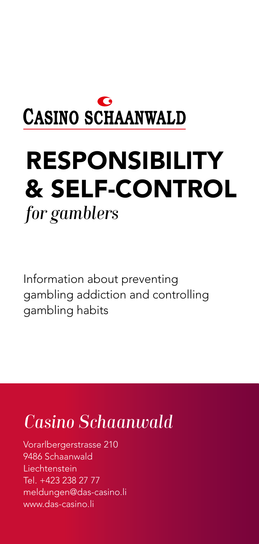

# RESPONSIBILITY & SELF-CONTROL *for gamblers*

Information about preventing gambling addiction and controlling gambling habits

# *Casino Schaanwald*

Vorarlbergerstrasse 210 9486 Schaanwald Liechtenstein Tel. +423 238 27 77 meldungen@das-casino.li www.das-casino.li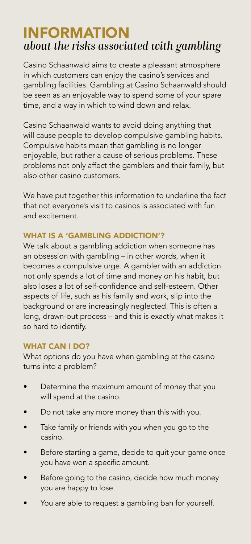## INFORMATION *about the risks associated with gambling*

Casino Schaanwald aims to create a pleasant atmosphere in which customers can enjoy the casino's services and gambling facilities. Gambling at Casino Schaanwald should be seen as an enjoyable way to spend some of your spare time, and a way in which to wind down and relax.

Casino Schaanwald wants to avoid doing anything that will cause people to develop compulsive gambling habits. Compulsive habits mean that gambling is no longer enjoyable, but rather a cause of serious problems. These problems not only affect the gamblers and their family, but also other casino customers.

We have put together this information to underline the fact that not everyone's visit to casinos is associated with fun and excitement.

### WHAT IS A 'GAMBLING ADDICTION'?

We talk about a gambling addiction when someone has an obsession with gambling – in other words, when it becomes a compulsive urge. A gambler with an addiction not only spends a lot of time and money on his habit, but also loses a lot of self-confidence and self-esteem. Other aspects of life, such as his family and work, slip into the background or are increasingly neglected. This is often a long, drawn-out process – and this is exactly what makes it so hard to identify.

#### WHAT CAN I DO?

What options do you have when gambling at the casino turns into a problem?

- Determine the maximum amount of money that you will spend at the casino.
- Do not take any more money than this with you.
- Take family or friends with you when you go to the casino.
- Before starting a game, decide to quit your game once you have won a specific amount.
- Before going to the casino, decide how much money you are happy to lose.
- You are able to request a gambling ban for yourself.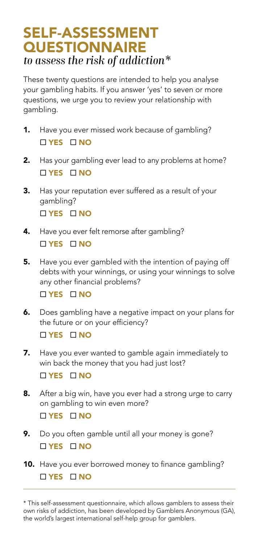## SELF-ASSESSMENT **QUESTIONNAIRE** *to assess the risk of addiction\**

These twenty questions are intended to help you analyse your gambling habits. If you answer 'yes' to seven or more questions, we urge you to review your relationship with gambling.

- 1. Have you ever missed work because of gambling?  $\Box$  YES  $\Box$  NO
- 2. Has your gambling ever lead to any problems at home?  $\Box$  YES  $\Box$  NO
- **3.** Has your reputation ever suffered as a result of your gambling? □ YES □ NO
- 4. Have you ever felt remorse after gambling?  $\Box$  YES  $\Box$  NO
- **5.** Have you ever gambled with the intention of paying off debts with your winnings, or using your winnings to solve any other financial problems?

**□ YES □ NO** 

6. Does gambling have a negative impact on your plans for the future or on your efficiency?

 $\Box$  YES  $\Box$  NO

- 7. Have you ever wanted to gamble again immediately to win back the money that you had just lost?  $\Box$  YES  $\Box$  NO
- 8. After a big win, have you ever had a strong urge to carry on gambling to win even more?  $\Box$  YES  $\Box$  NO
- 9. Do you often gamble until all your money is gone?  $\Box$  YES  $\Box$  NO
- 10. Have you ever borrowed money to finance gambling?  $\Box$  YES  $\Box$  NO

<sup>\*</sup> This self-assessment questionnaire, which allows gamblers to assess their own risks of addiction, has been developed by Gamblers Anonymous (GA), the world's largest international self-help group for gamblers.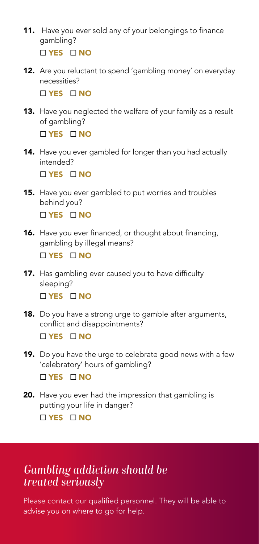- 11. Have you ever sold any of your belongings to finance gambling?  $\Box$  YES  $\Box$  NO
- 12. Are you reluctant to spend 'gambling money' on everyday necessities?

 $\Box$  VES  $\Box$  NO

13. Have you neglected the welfare of your family as a result of gambling?

**□ YES □ NO** 

14. Have you ever gambled for longer than you had actually intended?

TYES **NO** 

15. Have you ever gambled to put worries and troubles behind you?

□ YES □ NO

- 16. Have you ever financed, or thought about financing, gambling by illegal means?  $\Box$  YES  $\Box$  NO
- 17. Has gambling ever caused you to have difficulty sleeping? □ YES □ NO
- **18.** Do you have a strong urge to gamble after arguments, conflict and disappointments?

 $\Box$  YES  $\Box$  NO

19. Do you have the urge to celebrate good news with a few 'celebratory' hours of gambling?

□ YES □ NO

20. Have you ever had the impression that gambling is putting your life in danger? □ YES □ NO

## *Gambling addiction should be treated seriously*

Please contact our qualified personnel. They will be able to advise you on where to go for help.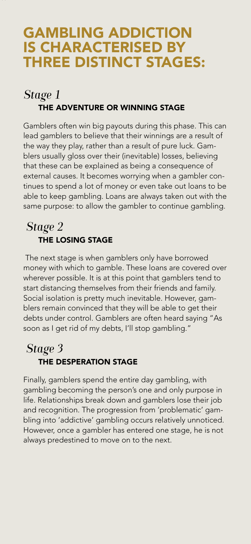## GAMBLING ADDICTION IS CHARACTERISED BY THREE DISTINCT STAGES:

## *Stage 1* THE ADVENTURE OR WINNING STAGE

Gamblers often win big payouts during this phase. This can lead gamblers to believe that their winnings are a result of the way they play, rather than a result of pure luck. Gamblers usually gloss over their (inevitable) losses, believing that these can be explained as being a consequence of external causes. It becomes worrying when a gambler continues to spend a lot of money or even take out loans to be able to keep gambling. Loans are always taken out with the same purpose: to allow the gambler to continue gambling.

## *Stage 2* THE LOSING STAGE

 The next stage is when gamblers only have borrowed money with which to gamble. These loans are covered over wherever possible. It is at this point that gamblers tend to start distancing themselves from their friends and family. Social isolation is pretty much inevitable. However, gamblers remain convinced that they will be able to get their debts under control. Gamblers are often heard saying "As soon as I get rid of my debts, I'll stop gambling."

## *Stage 3* THE DESPERATION STAGE

Finally, gamblers spend the entire day gambling, with gambling becoming the person's one and only purpose in life. Relationships break down and gamblers lose their job and recognition. The progression from 'problematic' gambling into 'addictive' gambling occurs relatively unnoticed. However, once a gambler has entered one stage, he is not always predestined to move on to the next.